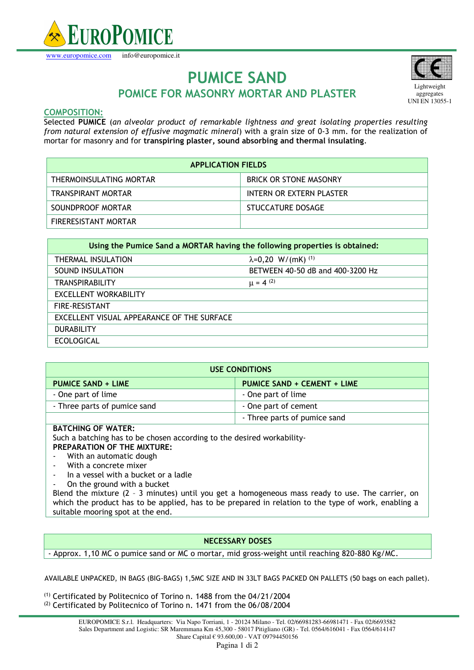

www.europomice.com info@europomice.it



# **PUMICE SAND POMICE FOR MASONRY MORTAR AND PLASTER**

# **COMPOSITION:**

Selected **PUMICE** (*an alveolar product of remarkable lightness and great isolating properties resulting from natural extension of effusive magmatic mineral*) with a grain size of 0-3 mm. for the realization of mortar for masonry and for **transpiring plaster, sound absorbing and thermal insulating**.

| <b>APPLICATION FIELDS</b> |                               |
|---------------------------|-------------------------------|
| THERMOINSULATING MORTAR   | <b>BRICK OR STONE MASONRY</b> |
| TRANSPIRANT MORTAR        | INTERN OR EXTERN PLASTER      |
| SOUNDPROOF MORTAR         | STUCCATURE DOSAGE             |
| FIRERESISTANT MORTAR      |                               |

| Using the Pumice Sand a MORTAR having the following properties is obtained: |                                        |
|-----------------------------------------------------------------------------|----------------------------------------|
| THERMAL INSULATION                                                          | $\lambda = 0,20$ W/(mK) <sup>(1)</sup> |
| SOUND INSULATION                                                            | BETWEEN 40-50 dB and 400-3200 Hz       |
| TRANSPIRABILITY                                                             | $\mu = 4^{(2)}$                        |
| <b>EXCELLENT WORKABILITY</b>                                                |                                        |
| <b>FIRE-RESISTANT</b>                                                       |                                        |
| EXCELLENT VISUAL APPEARANCE OF THE SURFACE                                  |                                        |
| <b>DURABILITY</b>                                                           |                                        |
| <b>ECOLOGICAL</b>                                                           |                                        |

| <b>USE CONDITIONS</b>        |                              |
|------------------------------|------------------------------|
| <b>PUMICE SAND + LIME</b>    | PUMICE SAND + CEMENT + LIME  |
| - One part of lime           | - One part of lime           |
| - Three parts of pumice sand | - One part of cement         |
|                              | - Three parts of pumice sand |
| DATCHING OF WATER.           |                              |

### **BATCHING OF WATER:**

Such a batching has to be chosen according to the desired workability-**PREPARATION OF THE MIXTURE:** 

- With an automatic dough
- With a concrete mixer
- In a vessel with a bucket or a ladle

On the ground with a bucket

Blend the mixture (2 – 3 minutes) until you get a homogeneous mass ready to use. The carrier, on which the product has to be applied, has to be prepared in relation to the type of work, enabling a suitable mooring spot at the end.

# **NECESSARY DOSES**

- Approx. 1,10 MC o pumice sand or MC o mortar, mid gross-weight until reaching 820-880 Kg/MC.

AVAILABLE UNPACKED, IN BAGS (BIG-BAGS) 1,5MC SIZE AND IN 33LT BAGS PACKED ON PALLETS (50 bags on each pallet).

(1) Certificated by Politecnico of Torino n. 1488 from the 04/21/2004 <sup>(2)</sup> Certificated by Politecnico of Torino n. 1471 from the 06/08/2004